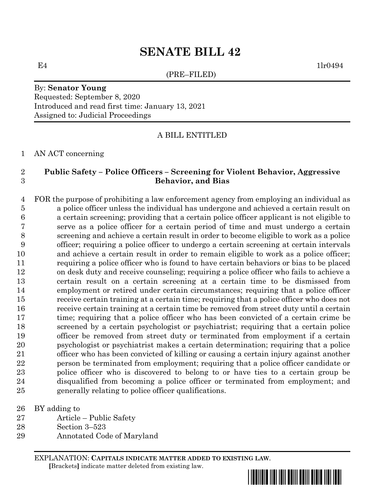# **SENATE BILL 42**

(PRE–FILED)

 $E4$  1lr0494

#### By: **Senator Young** Requested: September 8, 2020 Introduced and read first time: January 13, 2021 Assigned to: Judicial Proceedings

### A BILL ENTITLED

AN ACT concerning

## **Public Safety – Police Officers – Screening for Violent Behavior, Aggressive Behavior, and Bias**

 FOR the purpose of prohibiting a law enforcement agency from employing an individual as a police officer unless the individual has undergone and achieved a certain result on a certain screening; providing that a certain police officer applicant is not eligible to serve as a police officer for a certain period of time and must undergo a certain screening and achieve a certain result in order to become eligible to work as a police officer; requiring a police officer to undergo a certain screening at certain intervals and achieve a certain result in order to remain eligible to work as a police officer; requiring a police officer who is found to have certain behaviors or bias to be placed on desk duty and receive counseling; requiring a police officer who fails to achieve a certain result on a certain screening at a certain time to be dismissed from employment or retired under certain circumstances; requiring that a police officer receive certain training at a certain time; requiring that a police officer who does not receive certain training at a certain time be removed from street duty until a certain time; requiring that a police officer who has been convicted of a certain crime be screened by a certain psychologist or psychiatrist; requiring that a certain police officer be removed from street duty or terminated from employment if a certain psychologist or psychiatrist makes a certain determination; requiring that a police officer who has been convicted of killing or causing a certain injury against another person be terminated from employment; requiring that a police officer candidate or police officer who is discovered to belong to or have ties to a certain group be disqualified from becoming a police officer or terminated from employment; and generally relating to police officer qualifications.

BY adding to

- Article Public Safety
- Section 3–523
- Annotated Code of Maryland

EXPLANATION: **CAPITALS INDICATE MATTER ADDED TO EXISTING LAW**.  **[**Brackets**]** indicate matter deleted from existing law.

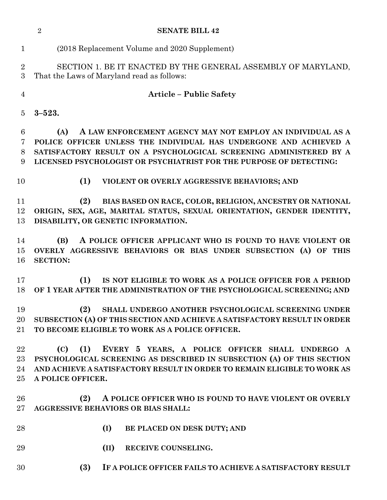|                              | $\overline{2}$<br><b>SENATE BILL 42</b>                                                                                                                                                                                                  |
|------------------------------|------------------------------------------------------------------------------------------------------------------------------------------------------------------------------------------------------------------------------------------|
| $\mathbf{1}$                 | (2018 Replacement Volume and 2020 Supplement)                                                                                                                                                                                            |
| $\overline{2}$<br>3          | SECTION 1. BE IT ENACTED BY THE GENERAL ASSEMBLY OF MARYLAND,<br>That the Laws of Maryland read as follows:                                                                                                                              |
| $\overline{4}$               | <b>Article – Public Safety</b>                                                                                                                                                                                                           |
| 5                            | $3 - 523.$                                                                                                                                                                                                                               |
| 6                            | (A)<br>A LAW ENFORCEMENT AGENCY MAY NOT EMPLOY AN INDIVIDUAL AS A                                                                                                                                                                        |
| 7<br>8<br>9                  | POLICE OFFICER UNLESS THE INDIVIDUAL HAS UNDERGONE AND ACHIEVED A<br>SATISFACTORY RESULT ON A PSYCHOLOGICAL SCREENING ADMINISTERED BY A<br>LICENSED PSYCHOLOGIST OR PSYCHIATRIST FOR THE PURPOSE OF DETECTING:                           |
| 10                           | (1)<br>VIOLENT OR OVERLY AGGRESSIVE BEHAVIORS; AND                                                                                                                                                                                       |
| 11<br>12<br>13               | BIAS BASED ON RACE, COLOR, RELIGION, ANCESTRY OR NATIONAL<br>(2)<br>ORIGIN, SEX, AGE, MARITAL STATUS, SEXUAL ORIENTATION, GENDER IDENTITY,<br>DISABILITY, OR GENETIC INFORMATION.                                                        |
| 14<br>15<br>16               | A POLICE OFFICER APPLICANT WHO IS FOUND TO HAVE VIOLENT OR<br>(B)<br>OVERLY AGGRESSIVE BEHAVIORS OR BIAS UNDER SUBSECTION (A) OF THIS<br><b>SECTION:</b>                                                                                 |
| 17<br>18                     | (1)<br>IS NOT ELIGIBLE TO WORK AS A POLICE OFFICER FOR A PERIOD<br>OF 1 YEAR AFTER THE ADMINISTRATION OF THE PSYCHOLOGICAL SCREENING; AND                                                                                                |
| 19<br>20<br>$21\,$           | (2) SHALL UNDERGO ANOTHER PSYCHOLOGICAL SCREENING UNDER<br>SUBSECTION (A) OF THIS SECTION AND ACHIEVE A SATISFACTORY RESULT IN ORDER<br>TO BECOME ELIGIBLE TO WORK AS A POLICE OFFICER.                                                  |
| 22<br>$23\,$<br>24<br>$25\,$ | (C)<br>(1)<br>EVERY 5 YEARS, A POLICE OFFICER SHALL UNDERGO A<br>PSYCHOLOGICAL SCREENING AS DESCRIBED IN SUBSECTION (A) OF THIS SECTION<br>AND ACHIEVE A SATISFACTORY RESULT IN ORDER TO REMAIN ELIGIBLE TO WORK AS<br>A POLICE OFFICER. |
| 26<br>$27\,$                 | A POLICE OFFICER WHO IS FOUND TO HAVE VIOLENT OR OVERLY<br>(2)<br>AGGRESSIVE BEHAVIORS OR BIAS SHALL:                                                                                                                                    |
| 28                           | (I)<br>BE PLACED ON DESK DUTY; AND                                                                                                                                                                                                       |
| 29                           | (II)<br>RECEIVE COUNSELING.                                                                                                                                                                                                              |
| 30                           | (3)<br>IF A POLICE OFFICER FAILS TO ACHIEVE A SATISFACTORY RESULT                                                                                                                                                                        |
|                              |                                                                                                                                                                                                                                          |